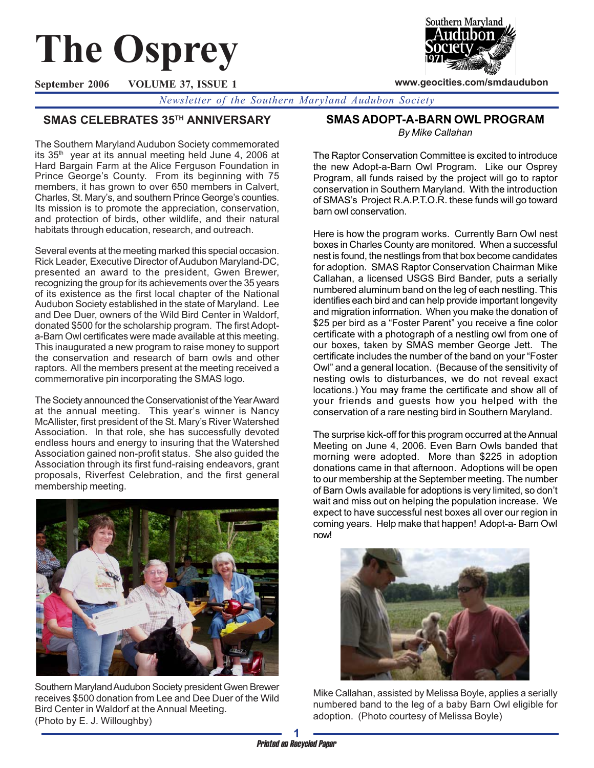# **The Osprey**



**www.geocities.com/smdaudubon**

**September 2006 VOLUME 37, ISSUE 1**

*Newsletter of the Southern Maryland Audubon Society*

# **SMAS CELEBRATES 35TH ANNIVERSARY**

The Southern Maryland Audubon Society commemorated its 35<sup>th</sup> year at its annual meeting held June 4, 2006 at Hard Bargain Farm at the Alice Ferguson Foundation in Prince George's County. From its beginning with 75 members, it has grown to over 650 members in Calvert, Charles, St. Mary's, and southern Prince George's counties. Its mission is to promote the appreciation, conservation, and protection of birds, other wildlife, and their natural habitats through education, research, and outreach.

Several events at the meeting marked this special occasion. Rick Leader, Executive Director of Audubon Maryland-DC, presented an award to the president, Gwen Brewer, recognizing the group for its achievements over the 35 years of its existence as the first local chapter of the National Audubon Society established in the state of Maryland. Lee and Dee Duer, owners of the Wild Bird Center in Waldorf, donated \$500 for the scholarship program. The first Adopta-Barn Owl certificates were made available at this meeting. This inaugurated a new program to raise money to support the conservation and research of barn owls and other raptors. All the members present at the meeting received a commemorative pin incorporating the SMAS logo.

The Society announced the Conservationist of the Year Award at the annual meeting. This year's winner is Nancy McAllister, first president of the St. Mary's River Watershed Association. In that role, she has successfully devoted endless hours and energy to insuring that the Watershed Association gained non-profit status. She also guided the Association through its first fund-raising endeavors, grant proposals, Riverfest Celebration, and the first general membership meeting.



Southern Maryland Audubon Society president Gwen Brewer receives \$500 donation from Lee and Dee Duer of the Wild Bird Center in Waldorf at the Annual Meeting. (Photo by E. J. Willoughby)

## **SMAS ADOPT-A-BARN OWL PROGRAM**

*By Mike Callahan*

The Raptor Conservation Committee is excited to introduce the new Adopt-a-Barn Owl Program. Like our Osprey Program, all funds raised by the project will go to raptor conservation in Southern Maryland. With the introduction of SMAS's Project R.A.P.T.O.R. these funds will go toward barn owl conservation.

Here is how the program works. Currently Barn Owl nest boxes in Charles County are monitored. When a successful nest is found, the nestlings from that box become candidates for adoption. SMAS Raptor Conservation Chairman Mike Callahan, a licensed USGS Bird Bander, puts a serially numbered aluminum band on the leg of each nestling. This identifies each bird and can help provide important longevity and migration information. When you make the donation of \$25 per bird as a "Foster Parent" you receive a fine color certificate with a photograph of a nestling owl from one of our boxes, taken by SMAS member George Jett. The certificate includes the number of the band on your "Foster Owl" and a general location. (Because of the sensitivity of nesting owls to disturbances, we do not reveal exact locations.) You may frame the certificate and show all of your friends and guests how you helped with the conservation of a rare nesting bird in Southern Maryland.

The surprise kick-off for this program occurred at the Annual Meeting on June 4, 2006. Even Barn Owls banded that morning were adopted. More than \$225 in adoption donations came in that afternoon. Adoptions will be open to our membership at the September meeting. The number of Barn Owls available for adoptions is very limited, so don't wait and miss out on helping the population increase. We expect to have successful nest boxes all over our region in coming years. Help make that happen! Adopt-a- Barn Owl now!



Mike Callahan, assisted by Melissa Boyle, applies a serially numbered band to the leg of a baby Barn Owl eligible for adoption. (Photo courtesy of Melissa Boyle)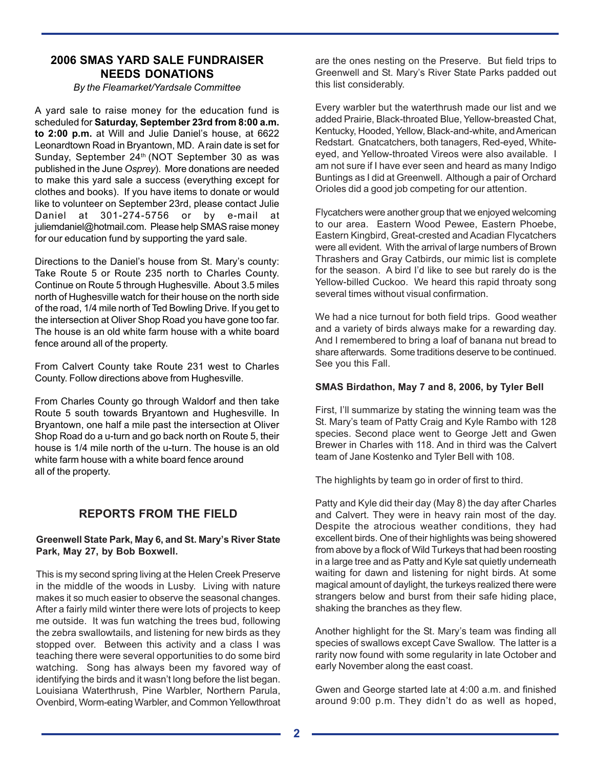## **2006 SMAS YARD SALE FUNDRAISER NEEDS DONATIONS**

#### *By the Fleamarket/Yardsale Committee*

A yard sale to raise money for the education fund is scheduled for **Saturday, September 23rd from 8:00 a.m. to 2:00 p.m.** at Will and Julie Daniel's house, at 6622 Leonardtown Road in Bryantown, MD. A rain date is set for Sunday, September 24<sup>th</sup> (NOT September 30 as was published in the June *Osprey*). More donations are needed to make this yard sale a success (everything except for clothes and books). If you have items to donate or would like to volunteer on September 23rd, please contact Julie Daniel at 301-274-5756 or by e-mail at juliemdaniel@hotmail.com. Please help SMAS raise money for our education fund by supporting the yard sale.

Directions to the Daniel's house from St. Mary's county: Take Route 5 or Route 235 north to Charles County. Continue on Route 5 through Hughesville. About 3.5 miles north of Hughesville watch for their house on the north side of the road, 1/4 mile north of Ted Bowling Drive. If you get to the intersection at Oliver Shop Road you have gone too far. The house is an old white farm house with a white board fence around all of the property.

From Calvert County take Route 231 west to Charles County. Follow directions above from Hughesville.

From Charles County go through Waldorf and then take Route 5 south towards Bryantown and Hughesville. In Bryantown, one half a mile past the intersection at Oliver Shop Road do a u-turn and go back north on Route 5, their house is 1/4 mile north of the u-turn. The house is an old white farm house with a white board fence around all of the property.

# **REPORTS FROM THE FIELD**

#### **Greenwell State Park, May 6, and St. Mary's River State Park, May 27, by Bob Boxwell.**

This is my second spring living at the Helen Creek Preserve in the middle of the woods in Lusby. Living with nature makes it so much easier to observe the seasonal changes. After a fairly mild winter there were lots of projects to keep me outside. It was fun watching the trees bud, following the zebra swallowtails, and listening for new birds as they stopped over. Between this activity and a class I was teaching there were several opportunities to do some bird watching. Song has always been my favored way of identifying the birds and it wasn't long before the list began. Louisiana Waterthrush, Pine Warbler, Northern Parula, Ovenbird, Worm-eating Warbler, and Common Yellowthroat are the ones nesting on the Preserve. But field trips to Greenwell and St. Mary's River State Parks padded out this list considerably.

Every warbler but the waterthrush made our list and we added Prairie, Black-throated Blue, Yellow-breasted Chat, Kentucky, Hooded, Yellow, Black-and-white, and American Redstart. Gnatcatchers, both tanagers, Red-eyed, Whiteeyed, and Yellow-throated Vireos were also available. I am not sure if I have ever seen and heard as many Indigo Buntings as I did at Greenwell. Although a pair of Orchard Orioles did a good job competing for our attention.

Flycatchers were another group that we enjoyed welcoming to our area. Eastern Wood Pewee, Eastern Phoebe, Eastern Kingbird, Great-crested and Acadian Flycatchers were all evident. With the arrival of large numbers of Brown Thrashers and Gray Catbirds, our mimic list is complete for the season. A bird I'd like to see but rarely do is the Yellow-billed Cuckoo. We heard this rapid throaty song several times without visual confirmation.

We had a nice turnout for both field trips. Good weather and a variety of birds always make for a rewarding day. And I remembered to bring a loaf of banana nut bread to share afterwards. Some traditions deserve to be continued. See you this Fall.

#### **SMAS Birdathon, May 7 and 8, 2006, by Tyler Bell**

First, I'll summarize by stating the winning team was the St. Mary's team of Patty Craig and Kyle Rambo with 128 species. Second place went to George Jett and Gwen Brewer in Charles with 118. And in third was the Calvert team of Jane Kostenko and Tyler Bell with 108.

The highlights by team go in order of first to third.

Patty and Kyle did their day (May 8) the day after Charles and Calvert. They were in heavy rain most of the day. Despite the atrocious weather conditions, they had excellent birds. One of their highlights was being showered from above by a flock of Wild Turkeys that had been roosting in a large tree and as Patty and Kyle sat quietly underneath waiting for dawn and listening for night birds. At some magical amount of daylight, the turkeys realized there were strangers below and burst from their safe hiding place, shaking the branches as they flew.

Another highlight for the St. Mary's team was finding all species of swallows except Cave Swallow. The latter is a rarity now found with some regularity in late October and early November along the east coast.

Gwen and George started late at 4:00 a.m. and finished around 9:00 p.m. They didn't do as well as hoped,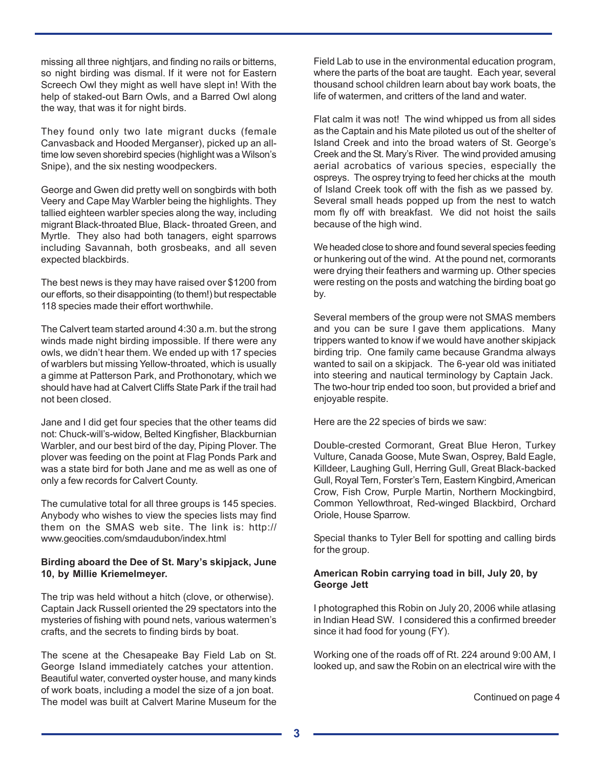missing all three nightjars, and finding no rails or bitterns, so night birding was dismal. If it were not for Eastern Screech Owl they might as well have slept in! With the help of staked-out Barn Owls, and a Barred Owl along the way, that was it for night birds.

They found only two late migrant ducks (female Canvasback and Hooded Merganser), picked up an alltime low seven shorebird species (highlight was a Wilson's Snipe), and the six nesting woodpeckers.

George and Gwen did pretty well on songbirds with both Veery and Cape May Warbler being the highlights. They tallied eighteen warbler species along the way, including migrant Black-throated Blue, Black- throated Green, and Myrtle. They also had both tanagers, eight sparrows including Savannah, both grosbeaks, and all seven expected blackbirds.

The best news is they may have raised over \$1200 from our efforts, so their disappointing (to them!) but respectable 118 species made their effort worthwhile.

The Calvert team started around 4:30 a.m. but the strong winds made night birding impossible. If there were any owls, we didn't hear them. We ended up with 17 species of warblers but missing Yellow-throated, which is usually a gimme at Patterson Park, and Prothonotary, which we should have had at Calvert Cliffs State Park if the trail had not been closed.

Jane and I did get four species that the other teams did not: Chuck-will's-widow, Belted Kingfisher, Blackburnian Warbler, and our best bird of the day, Piping Plover. The plover was feeding on the point at Flag Ponds Park and was a state bird for both Jane and me as well as one of only a few records for Calvert County.

The cumulative total for all three groups is 145 species. Anybody who wishes to view the species lists may find them on the SMAS web site. The link is: http:// www.geocities.com/smdaudubon/index.html

#### **Birding aboard the Dee of St. Mary's skipjack, June 10, by Millie Kriemelmeyer.**

The trip was held without a hitch (clove, or otherwise). Captain Jack Russell oriented the 29 spectators into the mysteries of fishing with pound nets, various watermen's crafts, and the secrets to finding birds by boat.

The scene at the Chesapeake Bay Field Lab on St. George Island immediately catches your attention. Beautiful water, converted oyster house, and many kinds of work boats, including a model the size of a jon boat. The model was built at Calvert Marine Museum for the

Field Lab to use in the environmental education program, where the parts of the boat are taught. Each year, several thousand school children learn about bay work boats, the life of watermen, and critters of the land and water.

Flat calm it was not! The wind whipped us from all sides as the Captain and his Mate piloted us out of the shelter of Island Creek and into the broad waters of St. George's Creek and the St. Mary's River. The wind provided amusing aerial acrobatics of various species, especially the ospreys. The osprey trying to feed her chicks at the mouth of Island Creek took off with the fish as we passed by. Several small heads popped up from the nest to watch mom fly off with breakfast. We did not hoist the sails because of the high wind.

We headed close to shore and found several species feeding or hunkering out of the wind. At the pound net, cormorants were drying their feathers and warming up. Other species were resting on the posts and watching the birding boat go by.

Several members of the group were not SMAS members and you can be sure I gave them applications. Many trippers wanted to know if we would have another skipjack birding trip. One family came because Grandma always wanted to sail on a skipjack. The 6-year old was initiated into steering and nautical terminology by Captain Jack. The two-hour trip ended too soon, but provided a brief and enjoyable respite.

Here are the 22 species of birds we saw:

Double-crested Cormorant, Great Blue Heron, Turkey Vulture, Canada Goose, Mute Swan, Osprey, Bald Eagle, Killdeer, Laughing Gull, Herring Gull, Great Black-backed Gull, Royal Tern, Forster's Tern, Eastern Kingbird, American Crow, Fish Crow, Purple Martin, Northern Mockingbird, Common Yellowthroat, Red-winged Blackbird, Orchard Oriole, House Sparrow.

Special thanks to Tyler Bell for spotting and calling birds for the group.

#### **American Robin carrying toad in bill, July 20, by George Jett**

I photographed this Robin on July 20, 2006 while atlasing in Indian Head SW. I considered this a confirmed breeder since it had food for young (FY).

Working one of the roads off of Rt. 224 around 9:00 AM, I looked up, and saw the Robin on an electrical wire with the

Continued on page 4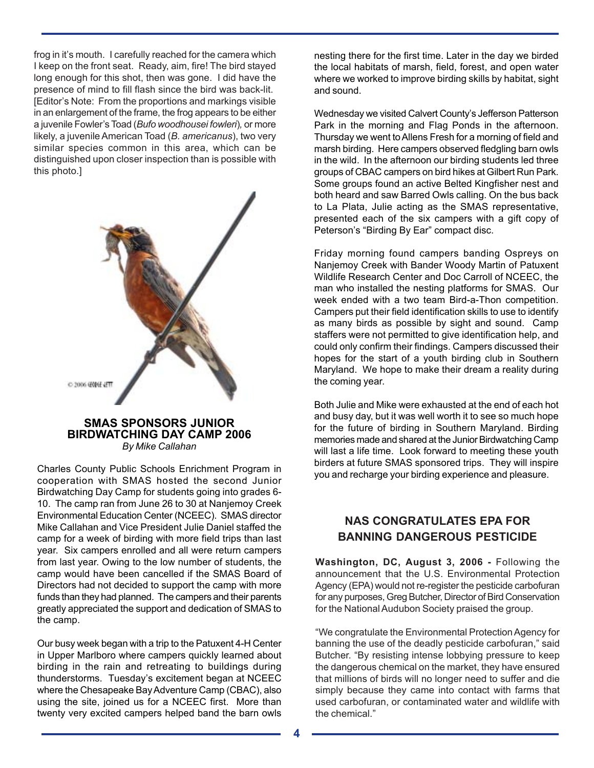frog in it's mouth. I carefully reached for the camera which I keep on the front seat. Ready, aim, fire! The bird stayed long enough for this shot, then was gone. I did have the presence of mind to fill flash since the bird was back-lit. [Editor's Note: From the proportions and markings visible in an enlargement of the frame, the frog appears to be either a juvenile Fowler's Toad (*Bufo woodhousei fowleri*)*,* or more likely, a juvenile American Toad (*B. americanus*), two very similar species common in this area, which can be distinguished upon closer inspection than is possible with this photo.]



#### **SMAS SPONSORS JUNIOR BIRDWATCHING DAY CAMP 2006** *By Mike Callahan*

Charles County Public Schools Enrichment Program in cooperation with SMAS hosted the second Junior Birdwatching Day Camp for students going into grades 6- 10. The camp ran from June 26 to 30 at Nanjemoy Creek Environmental Education Center (NCEEC). SMAS director Mike Callahan and Vice President Julie Daniel staffed the camp for a week of birding with more field trips than last year. Six campers enrolled and all were return campers from last year. Owing to the low number of students, the camp would have been cancelled if the SMAS Board of Directors had not decided to support the camp with more funds than they had planned. The campers and their parents greatly appreciated the support and dedication of SMAS to the camp.

Our busy week began with a trip to the Patuxent 4-H Center in Upper Marlboro where campers quickly learned about birding in the rain and retreating to buildings during thunderstorms. Tuesday's excitement began at NCEEC where the Chesapeake Bay Adventure Camp (CBAC), also using the site, joined us for a NCEEC first. More than twenty very excited campers helped band the barn owls

nesting there for the first time. Later in the day we birded the local habitats of marsh, field, forest, and open water where we worked to improve birding skills by habitat, sight and sound.

Wednesday we visited Calvert County's Jefferson Patterson Park in the morning and Flag Ponds in the afternoon. Thursday we went to Allens Fresh for a morning of field and marsh birding. Here campers observed fledgling barn owls in the wild. In the afternoon our birding students led three groups of CBAC campers on bird hikes at Gilbert Run Park. Some groups found an active Belted Kingfisher nest and both heard and saw Barred Owls calling. On the bus back to La Plata, Julie acting as the SMAS representative, presented each of the six campers with a gift copy of Peterson's "Birding By Ear" compact disc.

Friday morning found campers banding Ospreys on Nanjemoy Creek with Bander Woody Martin of Patuxent Wildlife Research Center and Doc Carroll of NCEEC, the man who installed the nesting platforms for SMAS. Our week ended with a two team Bird-a-Thon competition. Campers put their field identification skills to use to identify as many birds as possible by sight and sound. Camp staffers were not permitted to give identification help, and could only confirm their findings. Campers discussed their hopes for the start of a youth birding club in Southern Maryland. We hope to make their dream a reality during the coming year.

Both Julie and Mike were exhausted at the end of each hot and busy day, but it was well worth it to see so much hope for the future of birding in Southern Maryland. Birding memories made and shared at the Junior Birdwatching Camp will last a life time. Look forward to meeting these youth birders at future SMAS sponsored trips. They will inspire you and recharge your birding experience and pleasure.

# **NAS CONGRATULATES EPA FOR BANNING DANGEROUS PESTICIDE**

**Washington, DC, August 3, 2006 -** Following the announcement that the U.S. Environmental Protection Agency (EPA) would not re-register the pesticide carbofuran for any purposes, Greg Butcher, Director of Bird Conservation for the National Audubon Society praised the group.

"We congratulate the Environmental Protection Agency for banning the use of the deadly pesticide carbofuran," said Butcher. "By resisting intense lobbying pressure to keep the dangerous chemical on the market, they have ensured that millions of birds will no longer need to suffer and die simply because they came into contact with farms that used carbofuran, or contaminated water and wildlife with the chemical."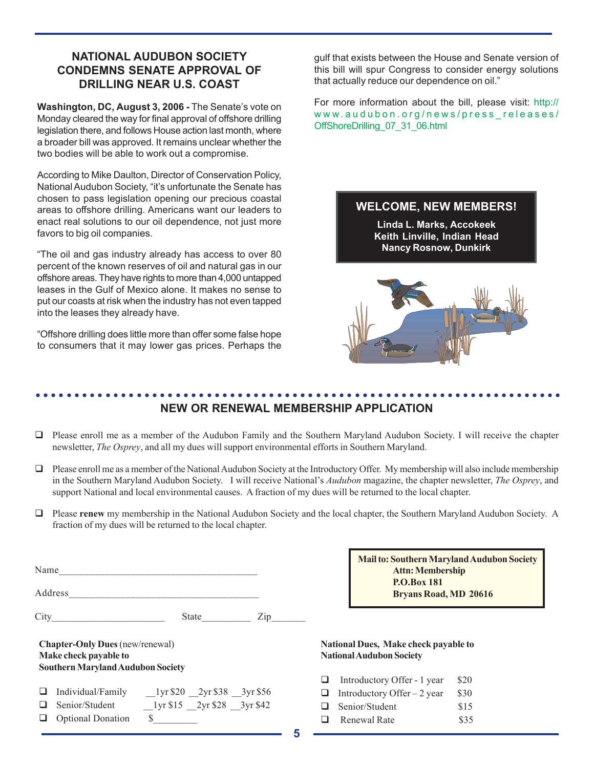## **NATIONAL AUDUBON SOCIETY CONDEMNS SENATE APPROVAL OF DRILLING NEAR U.S. COAST**

**Washington, DC, August 3, 2006 -** The Senate's vote on Monday cleared the way for final approval of offshore drilling legislation there, and follows House action last month, where a broader bill was approved. It remains unclear whether the two bodies will be able to work out a compromise.

According to Mike Daulton, Director of Conservation Policy, National Audubon Society, "it's unfortunate the Senate has chosen to pass legislation opening our precious coastal areas to offshore drilling. Americans want our leaders to enact real solutions to our oil dependence, not just more favors to big oil companies.

"The oil and gas industry already has access to over 80 percent of the known reserves of oil and natural gas in our offshore areas. They have rights to more than 4,000 untapped leases in the Gulf of Mexico alone. It makes no sense to put our coasts at risk when the industry has not even tapped into the leases they already have.

"Offshore drilling does little more than offer some false hope to consumers that it may lower gas prices. Perhaps the gulf that exists between the House and Senate version of this bill will spur Congress to consider energy solutions that actually reduce our dependence on oil."

For more information about the bill, please visit: http:// www.audubon.org/news/press\_releases/ OffShoreDrilling\_07\_31\_06.html

## **WELCOME, NEW MEMBERS!**

**Linda L. Marks, Accokeek Keith Linville, Indian Head Nancy Rosnow, Dunkirk**



#### ○○○○○○○○○○○○○○○○○○○○○○○○○○○○○○○○○○○○○○○○○○○○○ ○○○○○○○○○○○○○○○○○○○○○○○ **NEW OR RENEWAL MEMBERSHIP APPLICATION**

- $\Box$  Please enroll me as a member of the Audubon Family and the Southern Maryland Audubon Society. I will receive the chapter newsletter, *The Osprey*, and all my dues will support environmental efforts in Southern Maryland.
- Please enroll me as a member of the National Audubon Society at the Introductory Offer.My membership will also include membership in the Southern Maryland Audubon Society. I will receive National's *Audubon* magazine, the chapter newsletter, *The Osprey*, and support National and local environmental causes. A fraction of my dues will be returned to the local chapter.
- Please **renew** my membership in the National Audubon Society and the local chapter, the Southern Maryland Audubon Society. A fraction of my dues will be returned to the local chapter.

| Name                                                                                                        |                          |                                              |  |  |  |
|-------------------------------------------------------------------------------------------------------------|--------------------------|----------------------------------------------|--|--|--|
|                                                                                                             | Address                  |                                              |  |  |  |
|                                                                                                             |                          | State<br>Zip                                 |  |  |  |
| <b>Chapter-Only Dues</b> (new/renewal)<br>Make check payable to<br><b>Southern Maryland Audubon Society</b> |                          |                                              |  |  |  |
|                                                                                                             |                          | Individual/Family 1yr \$20 2yr \$38 3yr \$56 |  |  |  |
|                                                                                                             | Senior/Student           | 1 yr \$15 2 yr \$28 3 yr \$42                |  |  |  |
|                                                                                                             | <b>Optional Donation</b> | \$                                           |  |  |  |

**Mail to: Southern Maryland Audubon Society Attn: Membership P.O.Box 181 Bryans Road, MD 20616**

**National Dues, Make check payable to National Audubon Society**

| ப      | Introductory Offer - 1 year  | \$20 |
|--------|------------------------------|------|
| ⊔.     | Introductory Offer $-2$ year | \$30 |
| $\Box$ | Senior/Student               | \$15 |
| ப      | Renewal Rate                 | \$35 |